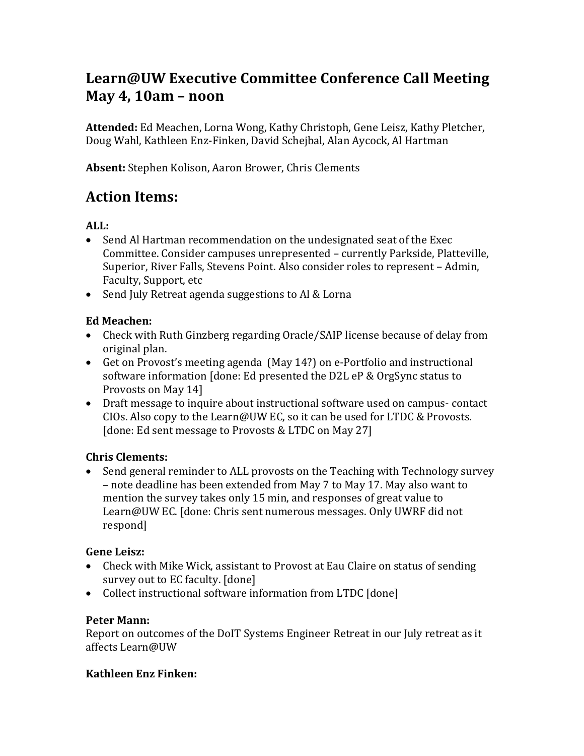# **Learn@UW Executive Committee Conference Call Meeting May 4, 10am – noon**

**Attended:** Ed Meachen, Lorna Wong, Kathy Christoph, Gene Leisz, Kathy Pletcher, Doug Wahl, Kathleen Enz-Finken, David Schejbal, Alan Aycock, Al Hartman

**Absent:** Stephen Kolison, Aaron Brower, Chris Clements

# **Action Items:**

### **ALL:**

- Send Al Hartman recommendation on the undesignated seat of the Exec Committee. Consider campuses unrepresented – currently Parkside, Platteville, Superior, River Falls, Stevens Point. Also consider roles to represent – Admin, Faculty, Support, etc
- Send July Retreat agenda suggestions to Al & Lorna

### **Ed Meachen:**

- Check with Ruth Ginzberg regarding Oracle/SAIP license because of delay from original plan.
- Get on Provost's meeting agenda (May 14?) on e-Portfolio and instructional software information [done: Ed presented the D2L eP & OrgSync status to Provosts on May 14]
- Draft message to inquire about instructional software used on campus- contact CIOs. Also copy to the Learn@UW EC, so it can be used for LTDC & Provosts. [done: Ed sent message to Provosts & LTDC on May 27]

### **Chris Clements:**

• Send general reminder to ALL provosts on the Teaching with Technology survey – note deadline has been extended from May 7 to May 17. May also want to mention the survey takes only 15 min, and responses of great value to Learn@UW EC. [done: Chris sent numerous messages. Only UWRF did not respond]

### **Gene Leisz:**

- Check with Mike Wick, assistant to Provost at Eau Claire on status of sending survey out to EC faculty. [done]
- Collect instructional software information from LTDC [done]

### **Peter Mann:**

Report on outcomes of the DoIT Systems Engineer Retreat in our July retreat as it affects Learn@UW

### **Kathleen Enz Finken:**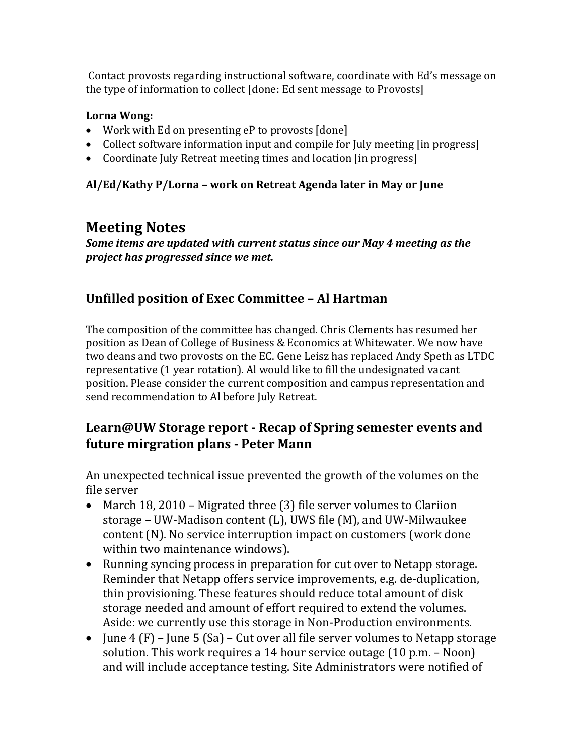Contact provosts regarding instructional software, coordinate with Ed's message on the type of information to collect [done: Ed sent message to Provosts]

#### **Lorna Wong:**

- Work with Ed on presenting eP to provosts [done]
- Collect software information input and compile for July meeting [in progress]
- Coordinate July Retreat meeting times and location [in progress]

#### **Al/Ed/Kathy P/Lorna – work on Retreat Agenda later in May or June**

# **Meeting Notes**

*Some items are updated with current status since our May 4 meeting as the project has progressed since we met.*

### **Unfilled position of Exec Committee – Al Hartman**

The composition of the committee has changed. Chris Clements has resumed her position as Dean of College of Business & Economics at Whitewater. We now have two deans and two provosts on the EC. Gene Leisz has replaced Andy Speth as LTDC representative (1 year rotation). Al would like to fill the undesignated vacant position. Please consider the current composition and campus representation and send recommendation to Al before July Retreat.

### **Learn@UW Storage report - Recap of Spring semester events and future mirgration plans - Peter Mann**

An unexpected technical issue prevented the growth of the volumes on the file server

- March 18, 2010 Migrated three (3) file server volumes to Clariion storage – UW-Madison content (L), UWS file (M), and UW-Milwaukee content (N). No service interruption impact on customers (work done within two maintenance windows).
- Running syncing process in preparation for cut over to Netapp storage. Reminder that Netapp offers service improvements, e.g. de-duplication, thin provisioning. These features should reduce total amount of disk storage needed and amount of effort required to extend the volumes. Aside: we currently use this storage in Non-Production environments.
- June 4  $(F)$  June 5  $(Sa)$  Cut over all file server volumes to Netapp storage solution. This work requires a 14 hour service outage (10 p.m. – Noon) and will include acceptance testing. Site Administrators were notified of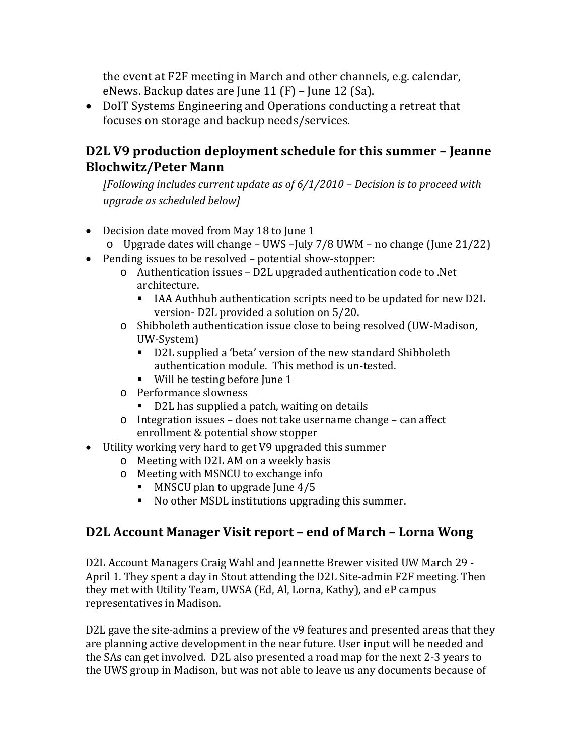the event at F2F meeting in March and other channels, e.g. calendar, eNews. Backup dates are June  $11$  (F) – June  $12$  (Sa).

• DoIT Systems Engineering and Operations conducting a retreat that focuses on storage and backup needs/services.

### **D2L V9 production deployment schedule for this summer – Jeanne Blochwitz/Peter Mann**

*[Following includes current update as of 6/1/2010 – Decision is to proceed with upgrade as scheduled below]*

- Decision date moved from May 18 to June 1
	- o Upgrade dates will change UWS –July 7/8 UWM no change (June 21/22)
- Pending issues to be resolved potential show-stopper:
	- o Authentication issues D2L upgraded authentication code to .Net architecture.
		- IAA Authhub authentication scripts need to be updated for new D2L version- D2L provided a solution on 5/20.
	- o Shibboleth authentication issue close to being resolved (UW-Madison, UW-System)
		- D2L supplied a 'beta' version of the new standard Shibboleth authentication module. This method is un-tested.
		- Will be testing before June 1
	- o Performance slowness
		- D2L has supplied a patch, waiting on details
	- o Integration issues does not take username change can affect enrollment & potential show stopper
- Utility working very hard to get V9 upgraded this summer
	- o Meeting with D2L AM on a weekly basis
	- o Meeting with MSNCU to exchange info
		- $\blacksquare$  MNSCU plan to upgrade June 4/5
		- No other MSDL institutions upgrading this summer.

### **D2L Account Manager Visit report – end of March – Lorna Wong**

D2L Account Managers Craig Wahl and Jeannette Brewer visited UW March 29 - April 1. They spent a day in Stout attending the D2L Site-admin F2F meeting. Then they met with Utility Team, UWSA (Ed, Al, Lorna, Kathy), and eP campus representatives in Madison.

D2L gave the site-admins a preview of the v9 features and presented areas that they are planning active development in the near future. User input will be needed and the SAs can get involved. D2L also presented a road map for the next 2-3 years to the UWS group in Madison, but was not able to leave us any documents because of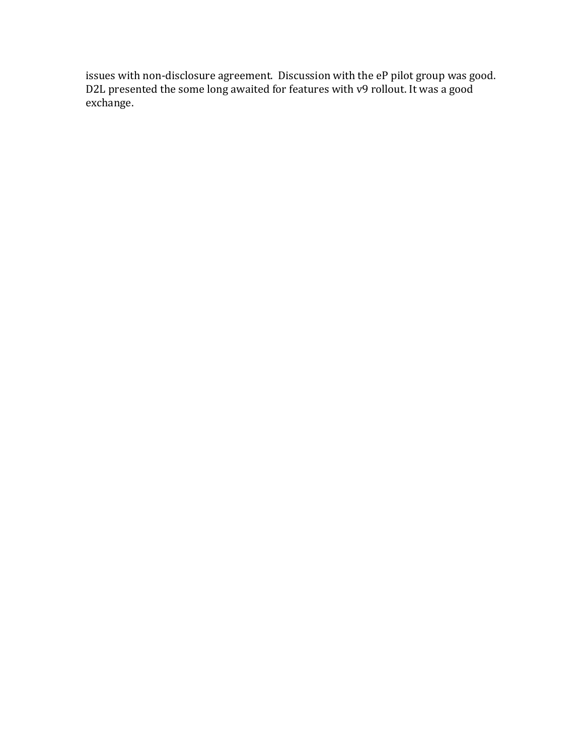issues with non-disclosure agreement. Discussion with the eP pilot group was good. D2L presented the some long awaited for features with v9 rollout. It was a good exchange.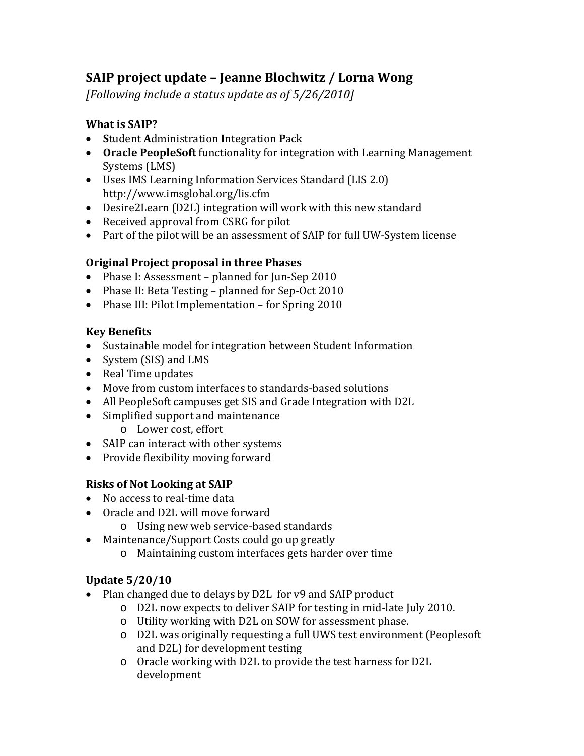# **SAIP project update – Jeanne Blochwitz / Lorna Wong**

*[Following include a status update as of 5/26/2010]*

### **What is SAIP?**

- **S**tudent **A**dministration **I**ntegration **P**ack
- **Oracle PeopleSoft** functionality for integration with Learning Management Systems (LMS)
- Uses IMS Learning Information Services Standard (LIS 2.0) http://www.imsglobal.org/lis.cfm
- Desire2Learn (D2L) integration will work with this new standard
- Received approval from CSRG for pilot
- Part of the pilot will be an assessment of SAIP for full UW-System license

#### **Original Project proposal in three Phases**

- Phase I: Assessment planned for Jun-Sep 2010
- Phase II: Beta Testing planned for Sep-Oct 2010
- Phase III: Pilot Implementation for Spring 2010

#### **Key Benefits**

- Sustainable model for integration between Student Information
- System (SIS) and LMS
- Real Time updates
- Move from custom interfaces to standards-based solutions
- All PeopleSoft campuses get SIS and Grade Integration with D2L
- Simplified support and maintenance
	- o Lower cost, effort
- SAIP can interact with other systems
- Provide flexibility moving forward

### **Risks of Not Looking at SAIP**

- No access to real-time data
- Oracle and D2L will move forward
	- o Using new web service-based standards
- Maintenance/Support Costs could go up greatly
	- o Maintaining custom interfaces gets harder over time

### **Update 5/20/10**

- Plan changed due to delays by D2L for y9 and SAIP product
	- o D2L now expects to deliver SAIP for testing in mid-late July 2010.
	- o Utility working with D2L on SOW for assessment phase.
	- o D2L was originally requesting a full UWS test environment (Peoplesoft and D2L) for development testing
	- o Oracle working with D2L to provide the test harness for D2L development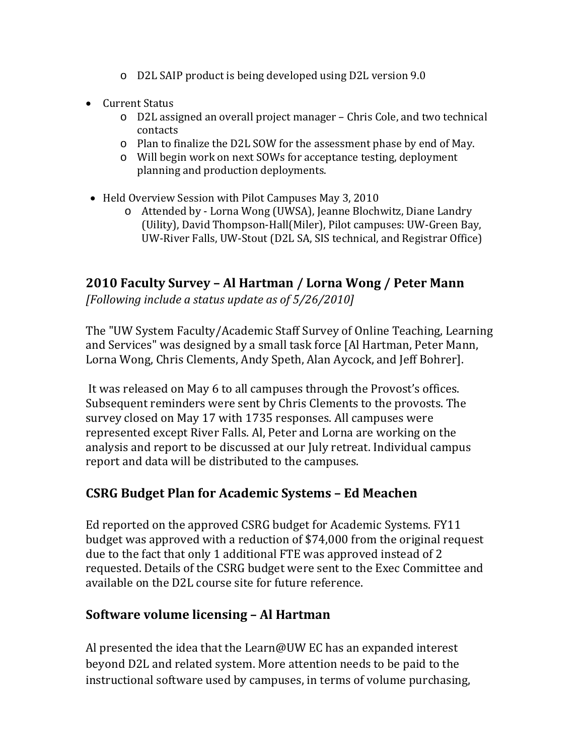- o D2L SAIP product is being developed using D2L version 9.0
- Current Status
	- o D2L assigned an overall project manager Chris Cole, and two technical contacts
	- o Plan to finalize the D2L SOW for the assessment phase by end of May.
	- o Will begin work on next SOWs for acceptance testing, deployment planning and production deployments.
- Held Overview Session with Pilot Campuses May 3, 2010
	- o Attended by Lorna Wong (UWSA), Jeanne Blochwitz, Diane Landry (Uility), David Thompson-Hall(Miler), Pilot campuses: UW-Green Bay, UW-River Falls, UW-Stout (D2L SA, SIS technical, and Registrar Office)

# **2010 Faculty Survey – Al Hartman / Lorna Wong / Peter Mann**

*[Following include a status update as of 5/26/2010]*

The "UW System Faculty/Academic Staff Survey of Online Teaching, Learning and Services" was designed by a small task force [Al Hartman, Peter Mann, Lorna Wong, Chris Clements, Andy Speth, Alan Aycock, and Jeff Bohrer].

It was released on May 6 to all campuses through the Provost's offices. Subsequent reminders were sent by Chris Clements to the provosts. The survey closed on May 17 with 1735 responses. All campuses were represented except River Falls. Al, Peter and Lorna are working on the analysis and report to be discussed at our July retreat. Individual campus report and data will be distributed to the campuses.

### **CSRG Budget Plan for Academic Systems – Ed Meachen**

Ed reported on the approved CSRG budget for Academic Systems. FY11 budget was approved with a reduction of \$74,000 from the original request due to the fact that only 1 additional FTE was approved instead of 2 requested. Details of the CSRG budget were sent to the Exec Committee and available on the D2L course site for future reference.

### **Software volume licensing – Al Hartman**

Al presented the idea that the Learn@UW EC has an expanded interest beyond D2L and related system. More attention needs to be paid to the instructional software used by campuses, in terms of volume purchasing,